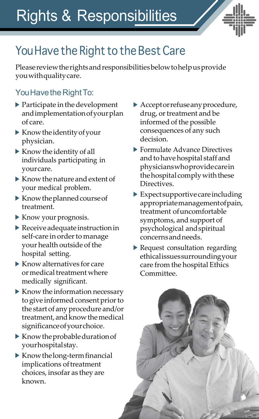Rights & Responsibilities



## You Have the Right to the Best Care

Pleasereviewtherightsandresponsibilitiesbelowtohelpusprovide youwithqualitycare.

## You Have the Right To:

- $\blacktriangleright$  Participate in the development andimplementationofyourplan of care.
- Knowtheidentityofyour physician.
- $\blacktriangleright$  Know the identity of all individuals participating in yourcare.
- $\blacktriangleright$  Know the nature and extent of your medical problem.
- $\blacktriangleright$  Know the planned course of treatment.
- Know your prognosis.
- $\blacktriangleright$  Receive adequate instruction in self-care in order to manage your health outside of the hospital setting.
- $\blacktriangleright$  Know alternatives for care or medical treatment where medically significant.
- $\blacktriangleright$  Know the information necessary to give informed consent prior to the start of any procedure and/or treatment, and know the medical significanceofyourchoice.
- $\blacktriangleright$  Know the probable duration of yourhospitalstay.
- $\blacktriangleright$  Know the long-term financial implications of treatment choices, insofar as they are known.
- Acceptorrefuseanyprocedure, drug, or treatment and be informed of the possible consequences of any such decision.
- ▶ Formulate Advance Directives and to have hospital staff and physicianswhoprovidecarein the hospital comply with these Directives.
- $\blacktriangleright$  Expect supportive care including appropriatemanagementofpain, treatment ofuncomfortable symptoms, and support of psychological andspiritual concernsandneeds.
- Request consultation regarding ethicalissuessurroundingyour care from the hospital Ethics Committee.

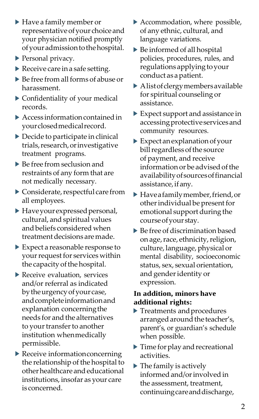- Have a family member or representativeofyour choiceand your physician notified promptly of your admission to the hospital.
- ▶ Personal privacy.
- $\blacktriangleright$  Receive care in a safe setting.
- $\triangleright$  Be free from all forms of abuse or harassment.
- Confidentiality of your medical records.
- $\blacktriangleright$  Access information contained in yourclosedmedicalrecord.
- $\triangleright$  Decide to participate in clinical trials,research,orinvestigative treatment programs.
- ▶ Be free from seclusion and restraints of any form that are not medically necessary.
- $\triangleright$  Considerate, respectful care from all employees.
- Haveyourexpressedpersonal, cultural, andspiritual values and beliefs considered when treatmentdecisions aremade.
- Expect a reasonable response to your request for services within the capacity of the hospital.
- Receive evaluation, services and/or referral as indicated bytheurgencyofyourcase, and complete information and explanation concerningthe needs for and the alternatives to your transfer to another institution whenmedically permissible.
- ▶ Receive information concerning the relationship of the hospital to other healthcare and educational institutions, insofar as your care is concerned.
- Accommodation, where possible, of any ethnic, cultural, and language variations.
- Be informed of all hospital policies, procedures, rules, and regulations applying to your conduct as apatient.
- Alistofclergymembersavailable for spiritual counseling or assistance.
- Expect support and assistance in accessingprotectiveservicesand community resources.
- $\blacktriangleright$  Expect an explanation of your billregardlessofthe source of payment, and receive informationor be advisedofthe availabilityofsourcesoffinancial assistance, if any.
- Haveafamilymember,friend,or other individual be present for emotional support during the courseofyour stay.
- Be free of discrimination based on age, race, ethnicity, religion, culture, language, physical or mental disability, socioeconomic status, sex, sexual orientation, and genderidentity or expression.

## **In addition, minors have additional rights:**

- Treatments andprocedures arranged around the teacher's, parent's, or guardian's schedule when possible.
- $\blacktriangleright$  Time for play and recreational activities.
- $\blacktriangleright$  The family is actively informedand/orinvolvedin the assessment, treatment, continuingcareanddischarge,